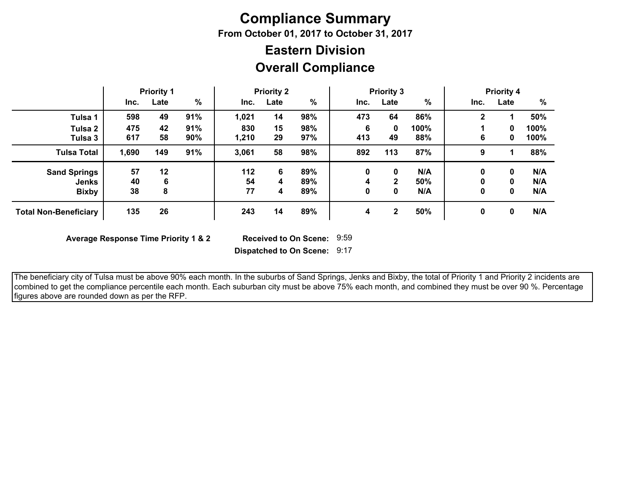# **Compliance Summary**

**From October 01, 2017 to October 31, 2017**

## **Overall Compliance Eastern Division**

|                              |       | <b>Priority 1</b> |     |       | <b>Priority 2</b> |     |      | <b>Priority 3</b> |      |      | <b>Priority 4</b> |      |
|------------------------------|-------|-------------------|-----|-------|-------------------|-----|------|-------------------|------|------|-------------------|------|
|                              | Inc.  | Late              | %   | Inc.  | Late              | %   | Inc. | Late              | %    | Inc. | Late              | %    |
| Tulsa 1                      | 598   | 49                | 91% | 1,021 | 14                | 98% | 473  | 64                | 86%  | 2    |                   | 50%  |
| Tulsa 2                      | 475   | 42                | 91% | 830   | 15                | 98% | 6    | 0                 | 100% |      | 0                 | 100% |
| Tulsa 3                      | 617   | 58                | 90% | 1,210 | 29                | 97% | 413  | 49                | 88%  | 6    | 0                 | 100% |
| <b>Tulsa Total</b>           | 1,690 | 149               | 91% | 3,061 | 58                | 98% | 892  | 113               | 87%  | 9    |                   | 88%  |
| <b>Sand Springs</b>          | 57    | 12                |     | 112   | 6                 | 89% | 0    | 0                 | N/A  | 0    | 0                 | N/A  |
| <b>Jenks</b>                 | 40    | 6                 |     | 54    | 4                 | 89% | 4    | $\mathbf{2}$      | 50%  |      | 0                 | N/A  |
| <b>Bixby</b>                 | 38    | 8                 |     | 77    | 4                 | 89% | 0    | 0                 | N/A  | 0    | 0                 | N/A  |
| <b>Total Non-Beneficiary</b> | 135   | 26                |     | 243   | 14                | 89% | 4    | $\mathbf{2}$      | 50%  | 0    | 0                 | N/A  |

**Average Response Time Priority 1 & 2** 

Received to On Scene: 9:59

**Dispatched to On Scene:** 9:17

 The beneficiary city of Tulsa must be above 90% each month. In the suburbs of Sand Springs, Jenks and Bixby, the total of Priority 1 and Priority 2 incidents are combined to get the compliance percentile each month. Each suburban city must be above 75% each month, and combined they must be over 90 %. Percentage figures above are rounded down as per the RFP.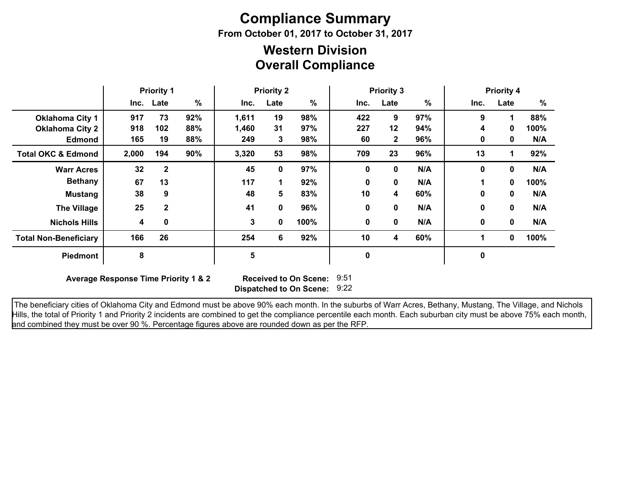# **Compliance Summary**

**From October 01, 2017 to October 31, 2017**

### **Overall Compliance Western Division**

|                               | <b>Priority 1</b> |              |     |       | <b>Priority 2</b> |      | <b>Priority 3</b> |              |     |      | <b>Priority 4</b> |      |
|-------------------------------|-------------------|--------------|-----|-------|-------------------|------|-------------------|--------------|-----|------|-------------------|------|
|                               |                   | Inc. Late    | %   | Inc.  | Late              | %    | Inc.              | Late         | %   | Inc. | Late              | %    |
| <b>Oklahoma City 1</b>        | 917               | 73           | 92% | 1,611 | 19                | 98%  | 422               | 9            | 97% | 9    | 4                 | 88%  |
| <b>Oklahoma City 2</b>        | 918               | 102          | 88% | 1,460 | 31                | 97%  | 227               | 12           | 94% | 4    | 0                 | 100% |
| <b>Edmond</b>                 | 165               | 19           | 88% | 249   | 3                 | 98%  | 60                | $\mathbf{2}$ | 96% | 0    | 0                 | N/A  |
| <b>Total OKC &amp; Edmond</b> | 2,000             | 194          | 90% | 3,320 | 53                | 98%  | 709               | 23           | 96% | 13   |                   | 92%  |
| <b>Warr Acres</b>             | 32                | $\mathbf{2}$ |     | 45    | 0                 | 97%  | 0                 | 0            | N/A | 0    | 0                 | N/A  |
| <b>Bethany</b>                | 67                | 13           |     | 117   |                   | 92%  | 0                 | 0            | N/A |      | 0                 | 100% |
| <b>Mustang</b>                | 38                | 9            |     | 48    | 5                 | 83%  | 10                | 4            | 60% | 0    | 0                 | N/A  |
| <b>The Village</b>            | 25                | $\mathbf{2}$ |     | 41    | 0                 | 96%  | 0                 | 0            | N/A | 0    | $\bf{0}$          | N/A  |
| <b>Nichols Hills</b>          | 4                 | 0            |     | 3     | 0                 | 100% | 0                 | 0            | N/A | 0    | $\bf{0}$          | N/A  |
| <b>Total Non-Beneficiary</b>  | 166               | 26           |     | 254   | 6                 | 92%  | 10                | 4            | 60% | 1    | 0                 | 100% |
| <b>Piedmont</b>               | 8                 |              |     | 5     |                   |      | 0                 |              |     | 0    |                   |      |

**Average Response Time Priority 1 & 2** 

**Dispatched to On Scene:** 9:22 Received to On Scene: 9:51

 The beneficiary cities of Oklahoma City and Edmond must be above 90% each month. In the suburbs of Warr Acres, Bethany, Mustang, The Village, and Nichols Hills, the total of Priority 1 and Priority 2 incidents are combined to get the compliance percentile each month. Each suburban city must be above 75% each month, and combined they must be over 90 %. Percentage figures above are rounded down as per the RFP.